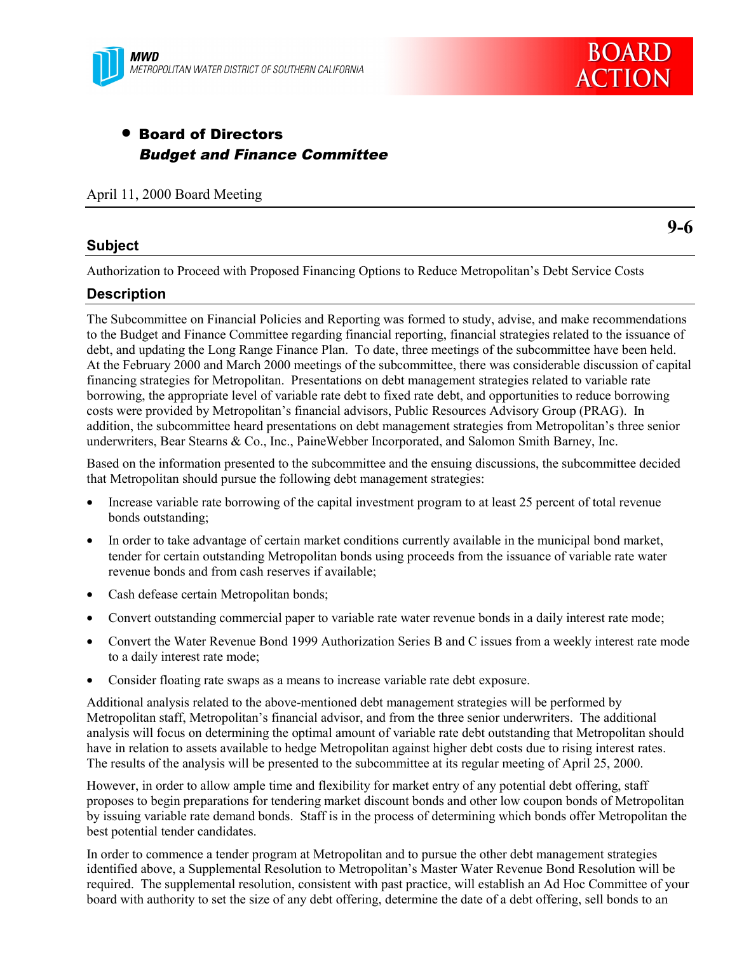

# • Board of Directors Budget and Finance Committee

April 11, 2000 Board Meeting

## **Subject**

**9-6**

Authorization to Proceed with Proposed Financing Options to Reduce Metropolitan's Debt Service Costs

## **Description**

The Subcommittee on Financial Policies and Reporting was formed to study, advise, and make recommendations to the Budget and Finance Committee regarding financial reporting, financial strategies related to the issuance of debt, and updating the Long Range Finance Plan. To date, three meetings of the subcommittee have been held. At the February 2000 and March 2000 meetings of the subcommittee, there was considerable discussion of capital financing strategies for Metropolitan. Presentations on debt management strategies related to variable rate borrowing, the appropriate level of variable rate debt to fixed rate debt, and opportunities to reduce borrowing costs were provided by Metropolitan's financial advisors, Public Resources Advisory Group (PRAG). In addition, the subcommittee heard presentations on debt management strategies from Metropolitan's three senior underwriters, Bear Stearns & Co., Inc., PaineWebber Incorporated, and Salomon Smith Barney, Inc.

Based on the information presented to the subcommittee and the ensuing discussions, the subcommittee decided that Metropolitan should pursue the following debt management strategies:

- Increase variable rate borrowing of the capital investment program to at least 25 percent of total revenue bonds outstanding;
- In order to take advantage of certain market conditions currently available in the municipal bond market, tender for certain outstanding Metropolitan bonds using proceeds from the issuance of variable rate water revenue bonds and from cash reserves if available;
- Cash defease certain Metropolitan bonds;
- Convert outstanding commercial paper to variable rate water revenue bonds in a daily interest rate mode;
- Convert the Water Revenue Bond 1999 Authorization Series B and C issues from a weekly interest rate mode to a daily interest rate mode;
- Consider floating rate swaps as a means to increase variable rate debt exposure.

Additional analysis related to the above-mentioned debt management strategies will be performed by Metropolitan staff, Metropolitan's financial advisor, and from the three senior underwriters. The additional analysis will focus on determining the optimal amount of variable rate debt outstanding that Metropolitan should have in relation to assets available to hedge Metropolitan against higher debt costs due to rising interest rates. The results of the analysis will be presented to the subcommittee at its regular meeting of April 25, 2000.

However, in order to allow ample time and flexibility for market entry of any potential debt offering, staff proposes to begin preparations for tendering market discount bonds and other low coupon bonds of Metropolitan by issuing variable rate demand bonds. Staff is in the process of determining which bonds offer Metropolitan the best potential tender candidates.

In order to commence a tender program at Metropolitan and to pursue the other debt management strategies identified above, a Supplemental Resolution to Metropolitan's Master Water Revenue Bond Resolution will be required. The supplemental resolution, consistent with past practice, will establish an Ad Hoc Committee of your board with authority to set the size of any debt offering, determine the date of a debt offering, sell bonds to an